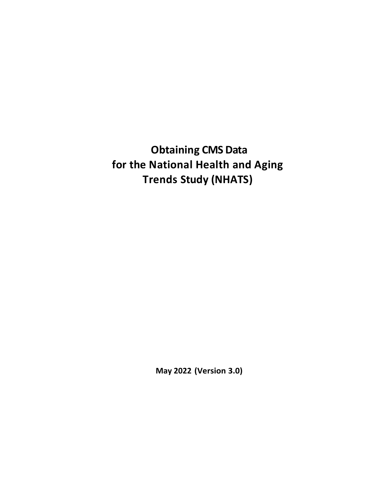**Obtaining CMS Data for the National Health and Aging Trends Study (NHATS)**

**May 2022 (Version 3.0)**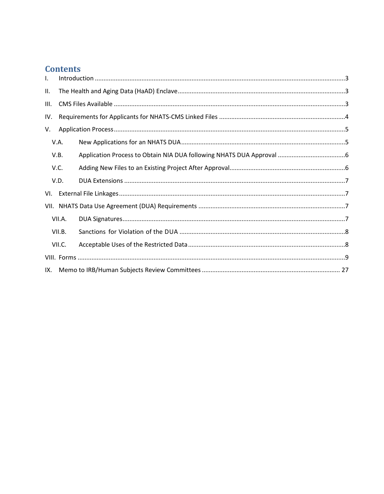# **Contents**

| $\mathbf{I}$ . |        |  |  |
|----------------|--------|--|--|
| II.            |        |  |  |
| Ш.             |        |  |  |
| IV.            |        |  |  |
| V.             |        |  |  |
|                | V.A.   |  |  |
|                | V.B.   |  |  |
|                | V.C.   |  |  |
|                | V.D.   |  |  |
| VI.            |        |  |  |
|                |        |  |  |
|                | VII.A. |  |  |
|                | VII.B. |  |  |
|                | VII.C. |  |  |
|                |        |  |  |
| IX.            |        |  |  |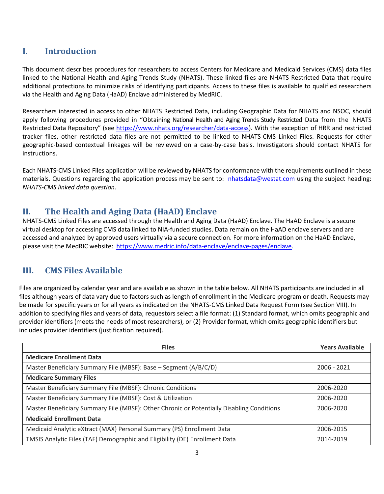## <span id="page-2-0"></span>**I. Introduction**

This document describes procedures for researchers to access Centers for Medicare and Medicaid Services (CMS) data files linked to the National Health and Aging Trends Study (NHATS). These linked files are NHATS Restricted Data that require additional protections to minimize risks of identifying participants. Access to these files is available to qualified researchers via the Health and Aging Data (HaAD) Enclave administered by MedRIC.

Researchers interested in access to other NHATS Restricted Data, including Geographic Data for NHATS and NSOC, should apply following procedures provided in "Obtaining National Health and Aging Trends Study Restricted Data from the NHATS Restricted Data Repository" (see [https://www.nhats.org/researcher/data-access\)](https://www.nhats.org/researcher/data-access). With the exception of HRR and restricted tracker files, other restricted data files are not permitted to be linked to NHATS-CMS Linked Files. Requests for other geographic-based contextual linkages will be reviewed on a case-by-case basis. Investigators should contact NHATS for instructions.

Each NHATS-CMS Linked Files application will be reviewed by NHATS for conformance with the requirements outlined in these materials. Questions regarding the application process may be sent to: [nhatsdata@westat.com](mailto:nhatsdata@westat.com) using the subject heading: *NHATS-CMS linked data question*.

## <span id="page-2-1"></span>**II. The Health and Aging Data (HaAD) Enclave**

NHATS-CMS Linked Files are accessed through the Health and Aging Data (HaAD) Enclave. The HaAD Enclave is a secure virtual desktop for accessing CMS data linked to NIA-funded studies. Data remain on the HaAD enclave servers and are accessed and analyzed by approved users virtually via a secure connection. For more information on the HaAD Enclave, please visit the MedRIC website: [https://www.medric.info/data-enclave/enclave-pages/enclave.](https://www.medric.info/data-enclave/enclave-pages/enclave)

## <span id="page-2-2"></span>**III. CMS Files Available**

Files are organized by calendar year and are available as shown in the table below. All NHATS participants are included in all files although years of data vary due to factors such as length of enrollment in the Medicare program or death. Requests may be made for specific years or for all years as indicated on the NHATS-CMS Linked Data Request Form (see Section VIII). In addition to specifying files and years of data, requestors select a file format: (1) Standard format, which omits geographic and provider identifiers (meets the needs of most researchers), or (2) Provider format, which omits geographic identifiers but includes provider identifiers (justification required).

| <b>Files</b>                                                                              | <b>Years Available</b> |
|-------------------------------------------------------------------------------------------|------------------------|
| <b>Medicare Enrollment Data</b>                                                           |                        |
| Master Beneficiary Summary File (MBSF): Base - Segment (A/B/C/D)                          | 2006 - 2021            |
| <b>Medicare Summary Files</b>                                                             |                        |
| Master Beneficiary Summary File (MBSF): Chronic Conditions                                | 2006-2020              |
| Master Beneficiary Summary File (MBSF): Cost & Utilization                                | 2006-2020              |
| Master Beneficiary Summary File (MBSF): Other Chronic or Potentially Disabling Conditions | 2006-2020              |
| <b>Medicaid Enrollment Data</b>                                                           |                        |
| Medicaid Analytic eXtract (MAX) Personal Summary (PS) Enrollment Data                     | 2006-2015              |
| TMSIS Analytic Files (TAF) Demographic and Eligibility (DE) Enrollment Data               | 2014-2019              |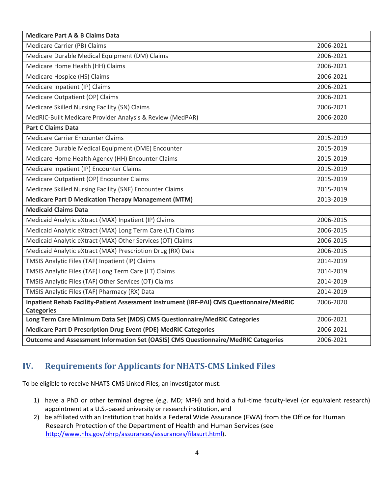| <b>Medicare Part A &amp; B Claims Data</b>                                                |           |  |
|-------------------------------------------------------------------------------------------|-----------|--|
| Medicare Carrier (PB) Claims                                                              | 2006-2021 |  |
| Medicare Durable Medical Equipment (DM) Claims                                            | 2006-2021 |  |
| Medicare Home Health (HH) Claims                                                          | 2006-2021 |  |
| Medicare Hospice (HS) Claims                                                              | 2006-2021 |  |
| Medicare Inpatient (IP) Claims                                                            | 2006-2021 |  |
| Medicare Outpatient (OP) Claims                                                           | 2006-2021 |  |
| Medicare Skilled Nursing Facility (SN) Claims                                             | 2006-2021 |  |
| MedRIC-Built Medicare Provider Analysis & Review (MedPAR)                                 | 2006-2020 |  |
| <b>Part C Claims Data</b>                                                                 |           |  |
| Medicare Carrier Encounter Claims                                                         | 2015-2019 |  |
| Medicare Durable Medical Equipment (DME) Encounter                                        | 2015-2019 |  |
| Medicare Home Health Agency (HH) Encounter Claims                                         | 2015-2019 |  |
| Medicare Inpatient (IP) Encounter Claims                                                  | 2015-2019 |  |
| Medicare Outpatient (OP) Encounter Claims                                                 | 2015-2019 |  |
| Medicare Skilled Nursing Facility (SNF) Encounter Claims                                  | 2015-2019 |  |
| <b>Medicare Part D Medication Therapy Management (MTM)</b>                                | 2013-2019 |  |
| <b>Medicaid Claims Data</b>                                                               |           |  |
| Medicaid Analytic eXtract (MAX) Inpatient (IP) Claims                                     | 2006-2015 |  |
| Medicaid Analytic eXtract (MAX) Long Term Care (LT) Claims                                | 2006-2015 |  |
| Medicaid Analytic eXtract (MAX) Other Services (OT) Claims                                | 2006-2015 |  |
| Medicaid Analytic eXtract (MAX) Prescription Drug (RX) Data                               | 2006-2015 |  |
| TMSIS Analytic Files (TAF) Inpatient (IP) Claims                                          | 2014-2019 |  |
| TMSIS Analytic Files (TAF) Long Term Care (LT) Claims                                     | 2014-2019 |  |
| TMSIS Analytic Files (TAF) Other Services (OT) Claims                                     | 2014-2019 |  |
| TMSIS Analytic Files (TAF) Pharmacy (RX) Data                                             | 2014-2019 |  |
| Inpatient Rehab Facility-Patient Assessment Instrument (IRF-PAI) CMS Questionnaire/MedRIC | 2006-2020 |  |
| <b>Categories</b>                                                                         |           |  |
| Long Term Care Minimum Data Set (MDS) CMS Questionnaire/MedRIC Categories                 | 2006-2021 |  |
| <b>Medicare Part D Prescription Drug Event (PDE) MedRIC Categories</b>                    | 2006-2021 |  |
| Outcome and Assessment Information Set (OASIS) CMS Questionnaire/MedRIC Categories        | 2006-2021 |  |

# <span id="page-3-0"></span>**IV. Requirements for Applicants for NHATS-CMS Linked Files**

To be eligible to receive NHATS-CMS Linked Files, an investigator must:

- 1) have a PhD or other terminal degree (e.g. MD; MPH) and hold a full-time faculty-level (or equivalent research) appointment at a U.S.-based university or research institution, and
- 2) be affiliated with an Institution that holds a Federal Wide Assurance (FWA) from the Office for Human Research Protection of the Department of Health and Human Services (see [http://www.hhs.gov/ohrp/assurances/assurances/filasurt.html\)](http://www.hhs.gov/ohrp/assurances/assurances/filasurt.html).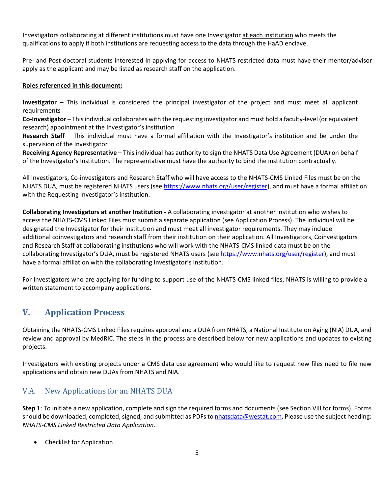Investigators collaborating at different institutions must have one Investigator at each institution who meets the qualifications to apply if both institutions are requesting access to the data through the HaAD enclave.

Pre- and Post-doctoral students interested in applying for access to NHATS restricted data must have their mentor/advisor apply as the applicant and may be listed as research staff on the application.

#### **Roles referenced in this document:**

**Investigator** – This individual is considered the principal investigator of the project and must meet all applicant requirements

**Co-Investigator** – This individual collaborates with the requesting investigator and must hold a faculty-level (or equivalent research) appointment at the Investigator's institution

**Research Staff** – This individual must have a formal affiliation with the Investigator's institution and be under the supervision of the Investigator

**Receiving Agency Representative** – This individual has authority to sign the NHATS Data Use Agreement (DUA) on behalf of the Investigator's Institution. The representative must have the authority to bind the institution contractually.

All Investigators, Co-investigators and Research Staff who will have access to the NHATS-CMS Linked Files must be on the NHATS DUA, must be registered NHATS users (see [https://www.nhats.org/user/register\)](https://www.nhats.org/user/register), and must have a formal affiliation with the Requesting Investigator's institution.

**Collaborating Investigators at another Institution -** A collaborating investigator at another institution who wishes to access the NHATS-CMS Linked Files must submit a separate application (see Application Process). The individual will be designated the Investigator for their institution and must meet all investigator requirements. They may include additional coinvestigators and research staff from their institution on their application. All Investigators, Coinvestigators and Research Staff at collaborating institutions who will work with the NHATS-CMS linked data must be on the collaborating Investigator's DUA, must be registered NHATS users (se[e https://www.nhats.org/user/register\)](https://www.nhats.org/user/register), and must have a formal affiliation with the collaborating Investigator's institution.

<span id="page-4-0"></span>For Investigators who are applying for funding to support use of the NHATS-CMS linked files, NHATS is willing to provide a written statement to accompany applications.

## **V. Application Process**

Obtaining the NHATS-CMS Linked Files requires approval and a DUA from NHATS, a National Institute on Aging (NIA) DUA, and review and approval by MedRIC. The steps in the process are described below for new applications and updates to existing projects.

Investigators with existing projects under a CMS data use agreement who would like to request new files need to file new applications and obtain new DUAs from NHATS and NIA.

## <span id="page-4-1"></span>V.A. New Applications for an NHATS DUA

**Step 1**: To initiate a new application, complete and sign the required forms and documents (see Section VIII for forms). Forms should be downloaded, completed, signed, and submitted as PDFs t[o nhatsdata@westat.com.](mailto:nhatsdata@westat.com) Please use the subject heading: *NHATS-CMS Linked Restricted Data Application*.

• Checklist for Application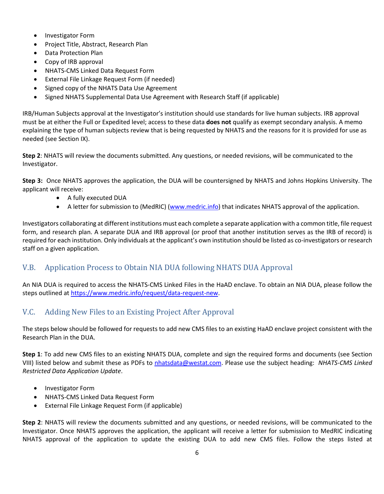- Investigator Form
- Project Title, Abstract, Research Plan
- Data Protection Plan
- Copy of IRB approval
- NHATS-CMS Linked Data Request Form
- External File Linkage Request Form (if needed)
- Signed copy of the NHATS Data Use Agreement
- Signed NHATS Supplemental Data Use Agreement with Research Staff (if applicable)

IRB/Human Subjects approval at the Investigator's institution should use standards for live human subjects. IRB approval must be at either the Full or Expedited level; access to these data **does not** qualify as exempt secondary analysis. A memo explaining the type of human subjects review that is being requested by NHATS and the reasons for it is provided for use as needed (see Section IX).

**Step 2**: NHATS will review the documents submitted. Any questions, or needed revisions, will be communicated to the Investigator.

**Step 3:** Once NHATS approves the application, the DUA will be countersigned by NHATS and Johns Hopkins University. The applicant will receive:

- A fully executed DUA
- A letter for submission to (MedRIC) [\(www.medric.info\)](http://www.medric.info/) that indicates NHATS approval of the application.

Investigators collaborating at different institutions must each complete a separate application with a common title, file request form, and research plan. A separate DUA and IRB approval (or proof that another institution serves as the IRB of record) is required for each institution. Only individuals at the applicant's own institution should be listed as co-investigators or research staff on a given application.

## <span id="page-5-0"></span>V.B. Application Process to Obtain NIA DUA following NHATS DUA Approval

An NIA DUA is required to access the NHATS-CMS Linked Files in the HaAD enclave. To obtain an NIA DUA, please follow the steps outlined at [https://www.medric.info/request/data-request-new.](https://www.medric.info/request/data-request-new)

## <span id="page-5-1"></span>V.C. Adding New Files to an Existing Project After Approval

The steps below should be followed for requests to add new CMS files to an existing HaAD enclave project consistent with the Research Plan in the DUA.

**Step 1**: To add new CMS files to an existing NHATS DUA, complete and sign the required forms and documents (see Section VIII) listed below and submit these as PDFs to [nhatsdata@westat.com.](mailto:nhatsdata@westat.com) Please use the subject heading: *NHATS-CMS Linked Restricted Data Application Update*.

- Investigator Form
- NHATS-CMS Linked Data Request Form
- External File Linkage Request Form (if applicable)

**Step 2**: NHATS will review the documents submitted and any questions, or needed revisions, will be communicated to the Investigator. Once NHATS approves the application, the applicant will receive a letter for submission to MedRIC indicating NHATS approval of the application to update the existing DUA to add new CMS files. Follow the steps listed at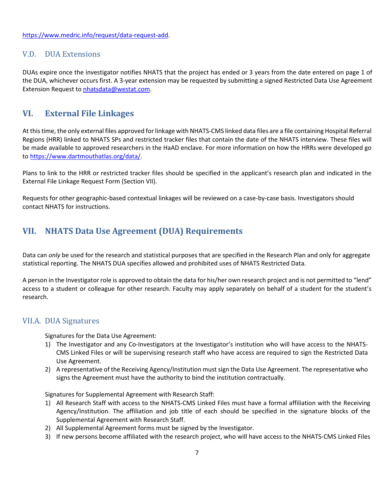[https://www.medric.info/request/data-request-add.](https://www.medric.info/request/data-request-add)

### <span id="page-6-0"></span>V.D. DUA Extensions

DUAs expire once the investigator notifies NHATS that the project has ended or 3 years from the date entered on page 1 of the DUA, whichever occurs first. A 3-year extension may be requested by submitting a signed Restricted Data Use Agreement Extension Request to [nhatsdata@westat.com.](mailto:nhatsdata@westat.com)

## <span id="page-6-1"></span>**VI. External File Linkages**

At this time, the only external files approved for linkage with NHATS-CMS linked data files are a file containing Hospital Referral Regions (HRR) linked to NHATS SPs and restricted tracker files that contain the date of the NHATS interview. These files will be made available to approved researchers in the HaAD enclave. For more information on how the HRRs were developed go to [https://www.dartmouthatlas.org/data/.](https://www.dartmouthatlas.org/data/)

Plans to link to the HRR or restricted tracker files should be specified in the applicant's research plan and indicated in the External File Linkage Request Form (Section VII).

<span id="page-6-2"></span>Requests for other geographic-based contextual linkages will be reviewed on a case-by-case basis. Investigators should contact NHATS for instructions.

## **VII. NHATS Data Use Agreement (DUA) Requirements**

Data can *only* be used for the research and statistical purposes that are specified in the Research Plan and only for aggregate statistical reporting. The NHATS DUA specifies allowed and prohibited uses of NHATS Restricted Data.

A person in the Investigator role is approved to obtain the data for his/her own research project and is not permitted to "lend" access to a student or colleague for other research. Faculty may apply separately on behalf of a student for the student's research.

## <span id="page-6-3"></span>VII.A. DUA Signatures

Signatures for the Data Use Agreement:

- 1) The Investigator and any Co-Investigators at the Investigator's institution who will have access to the NHATS-CMS Linked Files or will be supervising research staff who have access are required to sign the Restricted Data Use Agreement.
- 2) A representative of the Receiving Agency/Institution must sign the Data Use Agreement. The representative who signs the Agreement must have the authority to bind the institution contractually.

Signatures for Supplemental Agreement with Research Staff:

- 1) All Research Staff with access to the NHATS-CMS Linked Files must have a formal affiliation with the Receiving Agency/Institution. The affiliation and job title of each should be specified in the signature blocks of the Supplemental Agreement with Research Staff.
- 2) All Supplemental Agreement forms must be signed by the Investigator.
- 3) If new persons become affiliated with the research project, who will have access to the NHATS-CMS Linked Files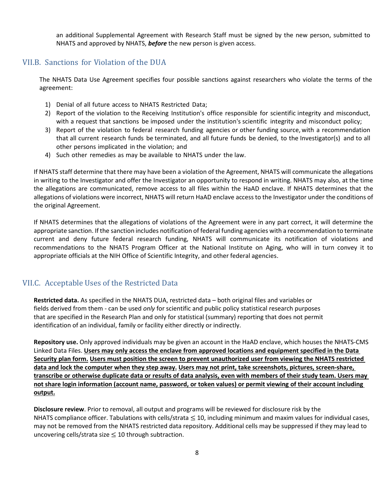an additional Supplemental Agreement with Research Staff must be signed by the new person, submitted to NHATS and approved by NHATS, *before* the new person is given access.

### <span id="page-7-0"></span>VII.B. Sanctions for Violation of the DUA

The NHATS Data Use Agreement specifies four possible sanctions against researchers who violate the terms of the agreement:

- 1) Denial of all future access to NHATS Restricted Data;
- 2) Report of the violation to the Receiving Institution's office responsible for scientific integrity and misconduct, with a request that sanctions be imposed under the institution's scientific integrity and misconduct policy;
- 3) Report of the violation to federal research funding agencies or other funding source, with a recommendation that all current research funds be terminated, and all future funds be denied, to the Investigator(s) and to all other persons implicated in the violation; and
- 4) Such other remedies as may be available to NHATS under the law.

If NHATS staff determine that there may have been a violation of the Agreement, NHATS will communicate the allegations in writing to the Investigator and offer the Investigator an opportunity to respond in writing. NHATS may also, at the time the allegations are communicated, remove access to all files within the HaAD enclave. If NHATS determines that the allegations of violations were incorrect, NHATS will return HaAD enclave accessto the Investigator under the conditions of the original Agreement.

If NHATS determines that the allegations of violations of the Agreement were in any part correct, it will determine the appropriate sanction. If the sanction includes notification of federal funding agencies with a recommendation to terminate current and deny future federal research funding, NHATS will communicate its notification of violations and recommendations to the NHATS Program Officer at the National Institute on Aging, who will in turn convey it to appropriate officials at the NIH Office of Scientific Integrity, and other federal agencies.

## <span id="page-7-1"></span>VII.C. Acceptable Uses of the Restricted Data

**Restricted data.** As specified in the NHATS DUA, restricted data – both original files and variables or fields derived from them - can be used *only* for scientific and public policy statistical research purposes that are specified in the Research Plan and only for statistical (summary) reporting that does not permit identification of an individual, family or facility either directly or indirectly.

**Repository use.** Only approved individuals may be given an account in the HaAD enclave, which houses the NHATS-CMS Linked Data Files. **Users may only access the enclave from approved locations and equipment specified in the Data Security plan form. Users must position the screen to prevent unauthorized user from viewing the NHATS restricted data and lock the computer when they step away. Users may not print, take screenshots, pictures, screen-share, transcribe or otherwise duplicate data or results of data analysis, even with members of their study team. Users may not share login information (account name, password, or token values) or permit viewing of their account including output.**

**Disclosure review**. Prior to removal, all output and programs will be reviewed for disclosure risk by the NHATS compliance officer. Tabulations with cells/strata  $\leq 10$ , including minimum and maxim values for individual cases, may not be removed from the NHATS restricted data repository. Additional cells may be suppressed if they may lead to uncovering cells/strata size  $\leq$  10 through subtraction.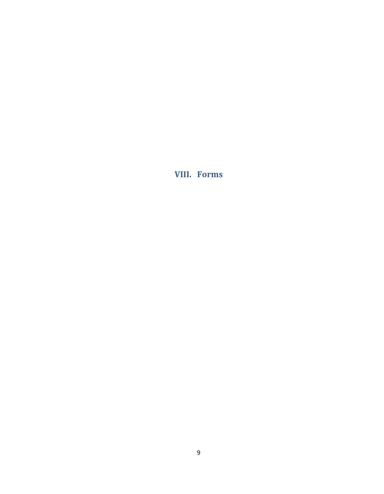<span id="page-8-0"></span>**VIII. Forms**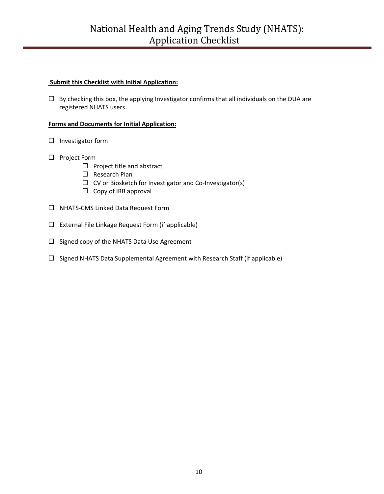#### **Submit this Checklist with Initial Application:**

 $\Box$  By checking this box, the applying Investigator confirms that all individuals on the DUA are registered NHATS users

#### **Forms and Documents for Initial Application:**

- $\square$  Investigator form
- □ Project Form
	- $\square$  Project title and abstract
	- □ Research Plan
	- $\Box$  CV or Biosketch for Investigator and Co-Investigator(s)
	- $\Box$  Copy of IRB approval
- □ NHATS-CMS Linked Data Request Form
- $\Box$  External File Linkage Request Form (if applicable)
- $\Box$  Signed copy of the NHATS Data Use Agreement
- $\Box$  Signed NHATS Data Supplemental Agreement with Research Staff (if applicable)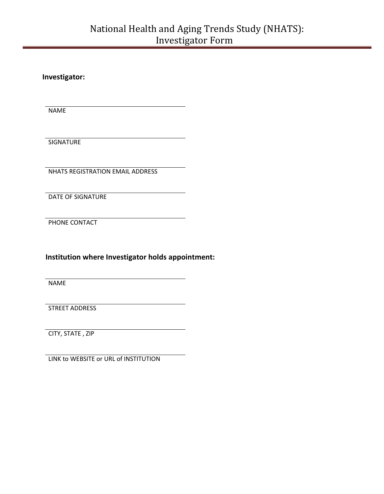**Investigator:**

NAME

SIGNATURE

NHATS REGISTRATION EMAIL ADDRESS

DATE OF SIGNATURE

PHONE CONTACT

**Institution where Investigator holds appointment:**

NAME

STREET ADDRESS

CITY, STATE , ZIP

LINK to WEBSITE or URL of INSTITUTION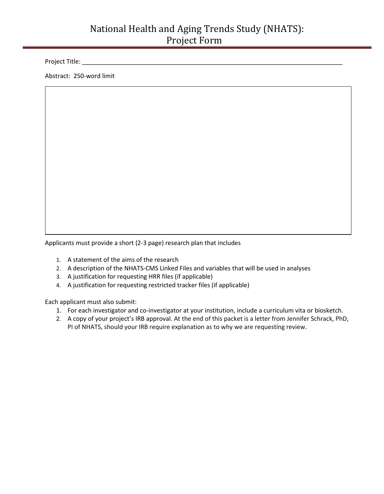# National Health and Aging Trends Study (NHATS): Project Form

Project Title: \_\_\_\_\_\_\_\_\_\_\_\_\_\_\_\_\_\_\_\_\_\_\_\_\_\_\_\_\_\_\_\_\_\_\_\_\_\_\_\_\_\_\_\_\_\_\_\_\_\_\_\_\_\_\_\_\_\_\_\_\_\_\_\_\_\_\_\_\_\_\_\_\_\_\_\_

Abstract: 250-word limit

Applicants must provide a short (2-3 page) research plan that includes

- 1. A statement of the aims of the research
- 2. A description of the NHATS-CMS Linked Files and variables that will be used in analyses
- 3. A justification for requesting HRR files (if applicable)
- 4. A justification for requesting restricted tracker files (if applicable)

Each applicant must also submit:

- 1. For each investigator and co-investigator at your institution, include a curriculum vita or biosketch.
- 2. A copy of your project's IRB approval. At the end of this packet is a letter from Jennifer Schrack, PhD, PI of NHATS, should your IRB require explanation as to why we are requesting review.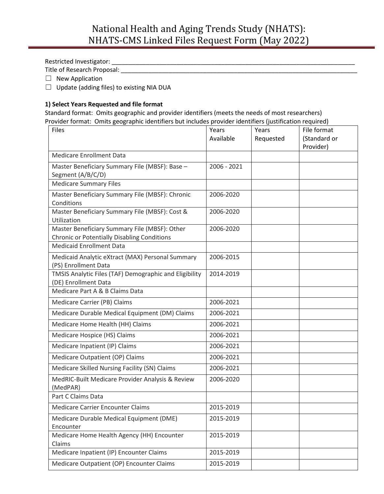Restricted Investigator: \_\_\_\_\_\_\_\_\_\_\_\_\_\_\_\_\_\_\_\_\_\_\_\_\_\_\_\_\_\_\_\_\_\_\_\_\_\_\_\_\_\_\_\_\_\_\_\_\_\_\_\_\_\_\_\_\_\_\_\_\_\_\_\_\_\_\_\_\_\_\_

Title of Research Proposal: \_\_\_\_\_\_\_\_\_\_\_\_\_\_\_\_\_\_\_\_\_\_\_\_\_\_\_\_\_\_\_\_\_\_\_\_\_\_\_\_\_\_\_\_\_\_\_\_\_\_\_\_\_\_\_\_\_\_\_\_\_\_\_\_\_\_\_\_\_

□ New Application

 $\Box$  Update (adding files) to existing NIA DUA

#### **1) Select Years Requested and file format**

Standard format: Omits geographic and provider identifiers (meets the needs of most researchers) Provider format: Omits geographic identifiers but includes provider identifiers (justification required)

| Files                                                                                               | Years<br>Available | Years<br>Requested | File format<br>(Standard or<br>Provider) |
|-----------------------------------------------------------------------------------------------------|--------------------|--------------------|------------------------------------------|
| <b>Medicare Enrollment Data</b>                                                                     |                    |                    |                                          |
| Master Beneficiary Summary File (MBSF): Base -<br>Segment (A/B/C/D)                                 | 2006 - 2021        |                    |                                          |
| <b>Medicare Summary Files</b>                                                                       |                    |                    |                                          |
| Master Beneficiary Summary File (MBSF): Chronic<br>Conditions                                       | 2006-2020          |                    |                                          |
| Master Beneficiary Summary File (MBSF): Cost &<br>Utilization                                       | 2006-2020          |                    |                                          |
| Master Beneficiary Summary File (MBSF): Other<br><b>Chronic or Potentially Disabling Conditions</b> | 2006-2020          |                    |                                          |
| <b>Medicaid Enrollment Data</b>                                                                     |                    |                    |                                          |
| Medicaid Analytic eXtract (MAX) Personal Summary<br>(PS) Enrollment Data                            | 2006-2015          |                    |                                          |
| TMSIS Analytic Files (TAF) Demographic and Eligibility<br>(DE) Enrollment Data                      | 2014-2019          |                    |                                          |
| Medicare Part A & B Claims Data                                                                     |                    |                    |                                          |
| Medicare Carrier (PB) Claims                                                                        | 2006-2021          |                    |                                          |
| Medicare Durable Medical Equipment (DM) Claims                                                      | 2006-2021          |                    |                                          |
| Medicare Home Health (HH) Claims                                                                    | 2006-2021          |                    |                                          |
| Medicare Hospice (HS) Claims                                                                        | 2006-2021          |                    |                                          |
| Medicare Inpatient (IP) Claims                                                                      | 2006-2021          |                    |                                          |
| Medicare Outpatient (OP) Claims                                                                     | 2006-2021          |                    |                                          |
| Medicare Skilled Nursing Facility (SN) Claims                                                       | 2006-2021          |                    |                                          |
| MedRIC-Built Medicare Provider Analysis & Review<br>(MedPAR)                                        | 2006-2020          |                    |                                          |
| Part C Claims Data                                                                                  |                    |                    |                                          |
| <b>Medicare Carrier Encounter Claims</b>                                                            | 2015-2019          |                    |                                          |
| Medicare Durable Medical Equipment (DME)<br>Encounter                                               | 2015-2019          |                    |                                          |
| Medicare Home Health Agency (HH) Encounter<br>Claims                                                | 2015-2019          |                    |                                          |
| Medicare Inpatient (IP) Encounter Claims                                                            | 2015-2019          |                    |                                          |
| Medicare Outpatient (OP) Encounter Claims                                                           | 2015-2019          |                    |                                          |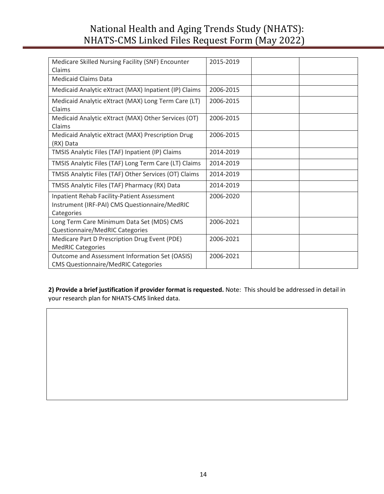# National Health and Aging Trends Study (NHATS): NHATS-CMS Linked Files Request Form (May 2022)

| Medicare Skilled Nursing Facility (SNF) Encounter<br>Claims                                                       | 2015-2019 |
|-------------------------------------------------------------------------------------------------------------------|-----------|
| <b>Medicaid Claims Data</b>                                                                                       |           |
| Medicaid Analytic eXtract (MAX) Inpatient (IP) Claims                                                             | 2006-2015 |
| Medicaid Analytic eXtract (MAX) Long Term Care (LT)<br>Claims                                                     | 2006-2015 |
| Medicaid Analytic eXtract (MAX) Other Services (OT)<br>Claims                                                     | 2006-2015 |
| Medicaid Analytic eXtract (MAX) Prescription Drug<br>(RX) Data                                                    | 2006-2015 |
| TMSIS Analytic Files (TAF) Inpatient (IP) Claims                                                                  | 2014-2019 |
| TMSIS Analytic Files (TAF) Long Term Care (LT) Claims                                                             | 2014-2019 |
| TMSIS Analytic Files (TAF) Other Services (OT) Claims                                                             | 2014-2019 |
| TMSIS Analytic Files (TAF) Pharmacy (RX) Data                                                                     | 2014-2019 |
| <b>Inpatient Rehab Facility-Patient Assessment</b><br>Instrument (IRF-PAI) CMS Questionnaire/MedRIC<br>Categories | 2006-2020 |
| Long Term Care Minimum Data Set (MDS) CMS                                                                         | 2006-2021 |
| Questionnaire/MedRIC Categories                                                                                   |           |
| Medicare Part D Prescription Drug Event (PDE)                                                                     | 2006-2021 |
| <b>MedRIC Categories</b>                                                                                          |           |
| Outcome and Assessment Information Set (OASIS)<br><b>CMS Questionnaire/MedRIC Categories</b>                      | 2006-2021 |

**2) Provide a brief justification if provider format is requested.** Note: This should be addressed in detail in your research plan for NHATS-CMS linked data.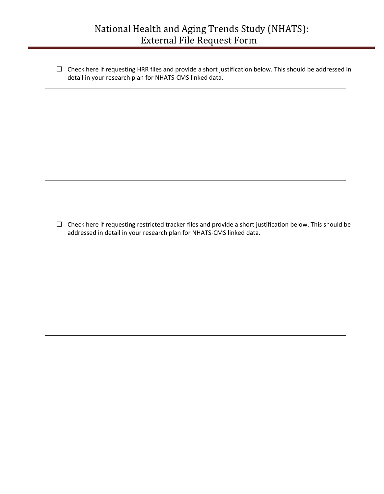Check here if requesting HRR files and provide a short justification below. This should be addressed in detail in your research plan for NHATS-CMS linked data.

 $\Box$  Check here if requesting restricted tracker files and provide a short justification below. This should be addressed in detail in your research plan for NHATS-CMS linked data.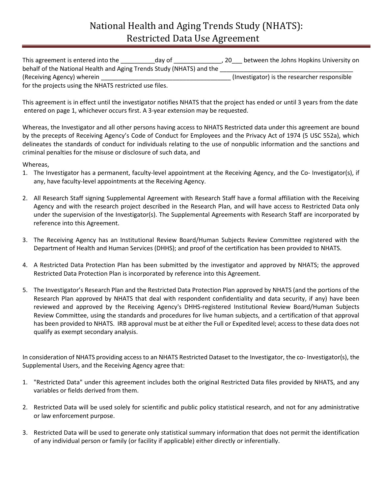| This agreement is entered into the<br>day of                         | between the Johns Hopkins University on<br>20 |
|----------------------------------------------------------------------|-----------------------------------------------|
| behalf of the National Health and Aging Trends Study (NHATS) and the |                                               |
| (Receiving Agency) wherein                                           | (Investigator) is the researcher responsible  |
| for the projects using the NHATS restricted use files.               |                                               |

This agreement is in effect until the investigator notifies NHATS that the project has ended or until 3 years from the date entered on page 1, whichever occurs first. A 3-year extension may be requested.

Whereas, the Investigator and all other persons having access to NHATS Restricted data under this agreement are bound by the precepts of Receiving Agency's Code of Conduct for Employees and the Privacy Act of 1974 (5 USC 552a), which delineates the standards of conduct for individuals relating to the use of nonpublic information and the sanctions and criminal penalties for the misuse or disclosure of such data, and

Whereas,

- 1. The Investigator has a permanent, faculty-level appointment at the Receiving Agency, and the Co- Investigator(s), if any, have faculty-level appointments at the Receiving Agency.
- 2. All Research Staff signing Supplemental Agreement with Research Staff have a formal affiliation with the Receiving Agency and with the research project described in the Research Plan, and will have access to Restricted Data only under the supervision of the Investigator(s). The Supplemental Agreements with Research Staff are incorporated by reference into this Agreement.
- 3. The Receiving Agency has an Institutional Review Board/Human Subjects Review Committee registered with the Department of Health and Human Services (DHHS); and proof of the certification has been provided to NHATS.
- 4. A Restricted Data Protection Plan has been submitted by the investigator and approved by NHATS; the approved Restricted Data Protection Plan is incorporated by reference into this Agreement.
- 5. The Investigator's Research Plan and the Restricted Data Protection Plan approved by NHATS (and the portions of the Research Plan approved by NHATS that deal with respondent confidentiality and data security, if any) have been reviewed and approved by the Receiving Agency's DHHS-registered Institutional Review Board/Human Subjects Review Committee, using the standards and procedures for live human subjects, and a certification of that approval has been provided to NHATS. IRB approval must be at either the Full or Expedited level; access to these data does not qualify as exempt secondary analysis.

In consideration of NHATS providing access to an NHATS Restricted Dataset to the Investigator, the co- Investigator(s), the Supplemental Users, and the Receiving Agency agree that:

- 1. "Restricted Data" under this agreement includes both the original Restricted Data files provided by NHATS, and any variables or fields derived from them.
- 2. Restricted Data will be used solely for scientific and public policy statistical research, and not for any administrative or law enforcement purpose.
- 3. Restricted Data will be used to generate only statistical summary information that does not permit the identification of any individual person or family (or facility if applicable) either directly or inferentially.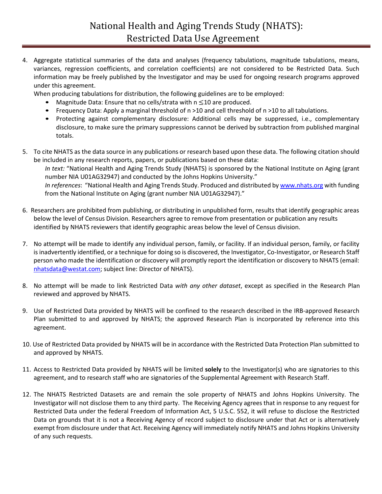4. Aggregate statistical summaries of the data and analyses (frequency tabulations, magnitude tabulations, means, variances, regression coefficients, and correlation coefficients) are not considered to be Restricted Data. Such information may be freely published by the Investigator and may be used for ongoing research programs approved under this agreement.

When producing tabulations for distribution, the following guidelines are to be employed:

- Magnitude Data: Ensure that no cells/strata with n ≤<sup>10</sup> are produced.
- Frequency Data: Apply a marginal threshold of n >10 and cell threshold of n >10 to all tabulations.
- Protecting against complementary disclosure: Additional cells may be suppressed, i.e., complementary disclosure, to make sure the primary suppressions cannot be derived by subtraction from published marginal totals.
- 5. To cite NHATS as the data source in any publications or research based upon these data. The following citation should be included in any research reports, papers, or publications based on these data: *In text:* "National Health and Aging Trends Study (NHATS) is sponsored by the National Institute on Aging (grant

number NIA U01AG32947) and conducted by the Johns Hopkins University." *In references*: "National Health and Aging Trends Study. Produced and distributed b[y www.nhats.org](http://www.nhats.org/) with funding from the National Institute on Aging (grant number NIA U01AG32947)."

- 6. Researchers are prohibited from publishing, or distributing in unpublished form, results that identify geographic areas below the level of Census Division. Researchers agree to remove from presentation or publication any results identified by NHATS reviewers that identify geographic areas below the level of Census division.
- 7. No attempt will be made to identify any individual person, family, or facility. If an individual person, family, or facility is inadvertently identified, or a technique for doing so is discovered, the Investigator, Co-Investigator, or Research Staff person who made the identification or discovery will promptly report the identification or discovery to NHATS (email: [nhatsdata@westat.com;](mailto:nhatsdata@westat.com) subject line: Director of NHATS).
- 8. No attempt will be made to link Restricted Data *with any other dataset*, except as specified in the Research Plan reviewed and approved by NHATS.
- 9. Use of Restricted Data provided by NHATS will be confined to the research described in the IRB-approved Research Plan submitted to and approved by NHATS; the approved Research Plan is incorporated by reference into this agreement.
- 10. Use of Restricted Data provided by NHATS will be in accordance with the Restricted Data Protection Plan submitted to and approved by NHATS.
- 11. Access to Restricted Data provided by NHATS will be limited **solely** to the Investigator(s) who are signatories to this agreement, and to research staff who are signatories of the Supplemental Agreement with Research Staff.
- 12. The NHATS Restricted Datasets are and remain the sole property of NHATS and Johns Hopkins University. The Investigator will not disclose them to any third party. The Receiving Agency agrees that in response to any request for Restricted Data under the federal Freedom of Information Act, 5 U.S.C. 552, it will refuse to disclose the Restricted Data on grounds that it is not a Receiving Agency of record subject to disclosure under that Act or is alternatively exempt from disclosure under that Act. Receiving Agency will immediately notify NHATS and Johns Hopkins University of any such requests.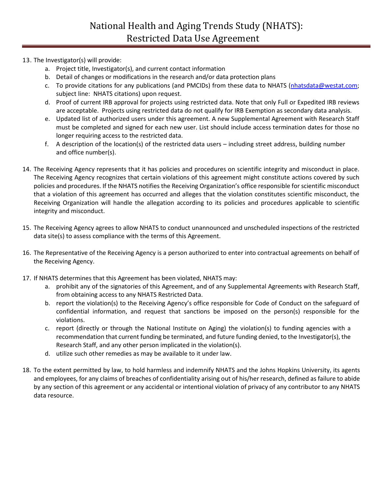### 13. The Investigator(s) will provide:

- a. Project title, Investigator(s), and current contact information
- b. Detail of changes or modifications in the research and/or data protection plans
- c. To provide citations for any publications (and PMCIDs) from these data to NHATS [\(nhatsdata@westat.com;](mailto:nhatsdata@westat.com) subject line: NHATS citations) upon request.
- d. Proof of current IRB approval for projects using restricted data. Note that only Full or Expedited IRB reviews are acceptable. Projects using restricted data do not qualify for IRB Exemption as secondary data analysis.
- e. Updated list of authorized users under this agreement. A new Supplemental Agreement with Research Staff must be completed and signed for each new user. List should include access termination dates for those no longer requiring access to the restricted data.
- f. A description of the location(s) of the restricted data users including street address, building number and office number(s).
- 14. The Receiving Agency represents that it has policies and procedures on scientific integrity and misconduct in place. The Receiving Agency recognizes that certain violations of this agreement might constitute actions covered by such policies and procedures. If the NHATS notifies the Receiving Organization's office responsible for scientific misconduct that a violation of this agreement has occurred and alleges that the violation constitutes scientific misconduct, the Receiving Organization will handle the allegation according to its policies and procedures applicable to scientific integrity and misconduct.
- 15. The Receiving Agency agrees to allow NHATS to conduct unannounced and unscheduled inspections of the restricted data site(s) to assess compliance with the terms of this Agreement.
- 16. The Representative of the Receiving Agency is a person authorized to enter into contractual agreements on behalf of the Receiving Agency.
- 17. If NHATS determines that this Agreement has been violated, NHATS may:
	- a. prohibit any of the signatories of this Agreement, and of any Supplemental Agreements with Research Staff, from obtaining access to any NHATS Restricted Data.
	- b. report the violation(s) to the Receiving Agency's office responsible for Code of Conduct on the safeguard of confidential information, and request that sanctions be imposed on the person(s) responsible for the violations.
	- c. report (directly or through the National Institute on Aging) the violation(s) to funding agencies with a recommendation that current funding be terminated, and future funding denied, to the Investigator(s), the Research Staff, and any other person implicated in the violation(s).
	- d. utilize such other remedies as may be available to it under law.
- 18. To the extent permitted by law, to hold harmless and indemnify NHATS and the Johns Hopkins University, its agents and employees, for any claims of breaches of confidentiality arising out of his/her research, defined as failure to abide by any section of this agreement or any accidental or intentional violation of privacy of any contributor to any NHATS data resource.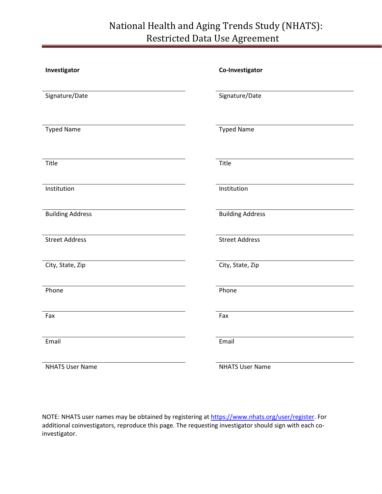# National Health and Aging Trends Study (NHATS): Restricted Data Use Agreement

| Investigator            | Co-Investigator         |
|-------------------------|-------------------------|
| Signature/Date          | Signature/Date          |
| <b>Typed Name</b>       | <b>Typed Name</b>       |
| Title                   | Title                   |
| Institution             | Institution             |
| <b>Building Address</b> | <b>Building Address</b> |
| <b>Street Address</b>   | <b>Street Address</b>   |
| City, State, Zip        | City, State, Zip        |
| Phone                   | Phone                   |
| Fax                     | Fax                     |
| Email                   | Email                   |
| <b>NHATS User Name</b>  | <b>NHATS User Name</b>  |

NOTE: NHATS user names may be obtained by registering at [https://www.nhats.org/user/register.](https://www.nhats.org/user/register) For additional coinvestigators, reproduce this page. The requesting investigator should sign with each coinvestigator.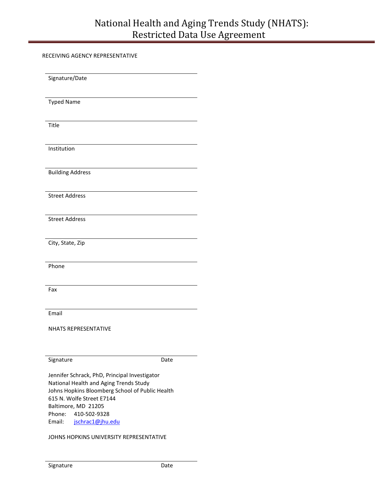# National Health and Aging Trends Study (NHATS): Restricted Data Use Agreement

RECEIVING AGENCY REPRESENTATIVE

| Signature/Date                                                                                                                                                                                 |
|------------------------------------------------------------------------------------------------------------------------------------------------------------------------------------------------|
| <b>Typed Name</b>                                                                                                                                                                              |
| Title                                                                                                                                                                                          |
| Institution                                                                                                                                                                                    |
| <b>Building Address</b>                                                                                                                                                                        |
| <b>Street Address</b>                                                                                                                                                                          |
| <b>Street Address</b>                                                                                                                                                                          |
| City, State, Zip                                                                                                                                                                               |
| Phone                                                                                                                                                                                          |
| Fax                                                                                                                                                                                            |
| Email                                                                                                                                                                                          |
| <b>NHATS REPRESENTATIVE</b>                                                                                                                                                                    |
| Signature<br>Date                                                                                                                                                                              |
| Jennifer Schrack, PhD, Principal Investigator<br>National Health and Aging Trends Study<br>Johns Hopkins Bloomberg School of Public Health<br>615 N. Wolfe Street E7144<br>Baltimore, MD 21205 |
| Phone:<br>410-502-9328<br>Email:<br>jschrac1@jhu.edu                                                                                                                                           |
| JOHNS HOPKINS UNIVERSITY REPRESENTATIVE                                                                                                                                                        |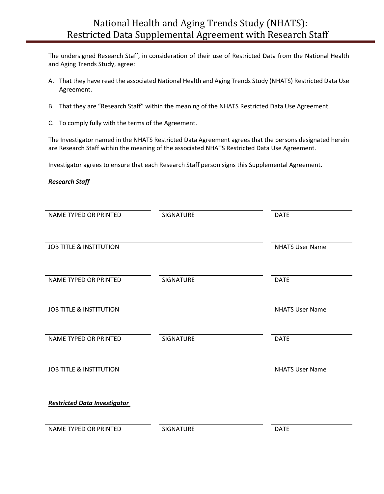The undersigned Research Staff, in consideration of their use of Restricted Data from the National Health and Aging Trends Study, agree:

- A. That they have read the associated National Health and Aging Trends Study (NHATS) Restricted Data Use Agreement.
- B. That they are "Research Staff" within the meaning of the NHATS Restricted Data Use Agreement.
- C. To comply fully with the terms of the Agreement.

The Investigator named in the NHATS Restricted Data Agreement agrees that the persons designated herein are Research Staff within the meaning of the associated NHATS Restricted Data Use Agreement.

Investigator agrees to ensure that each Research Staff person signs this Supplemental Agreement.

#### *Research Staff*

| <b>NAME TYPED OR PRINTED</b>        | <b>SIGNATURE</b> | <b>DATE</b>            |
|-------------------------------------|------------------|------------------------|
|                                     |                  |                        |
| <b>JOB TITLE &amp; INSTITUTION</b>  |                  | <b>NHATS User Name</b> |
|                                     |                  |                        |
| NAME TYPED OR PRINTED               | <b>SIGNATURE</b> | <b>DATE</b>            |
|                                     |                  |                        |
| <b>JOB TITLE &amp; INSTITUTION</b>  |                  | <b>NHATS User Name</b> |
| <b>NAME TYPED OR PRINTED</b>        | <b>SIGNATURE</b> | <b>DATE</b>            |
|                                     |                  |                        |
| <b>JOB TITLE &amp; INSTITUTION</b>  |                  | <b>NHATS User Name</b> |
|                                     |                  |                        |
| <b>Restricted Data Investigator</b> |                  |                        |
|                                     |                  |                        |
| <b>NAME TYPED OR PRINTED</b>        | <b>SIGNATURE</b> | <b>DATE</b>            |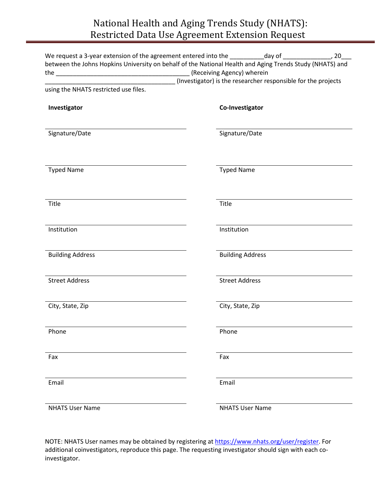# National Health and Aging Trends Study (NHATS): Restricted Data Use Agreement Extension Request

| between the Johns Hopkins University on behalf of the National Health and Aging Trends Study (NHATS) and |                                                               |
|----------------------------------------------------------------------------------------------------------|---------------------------------------------------------------|
|                                                                                                          |                                                               |
|                                                                                                          | (Investigator) is the researcher responsible for the projects |
| using the NHATS restricted use files.                                                                    |                                                               |
| Investigator                                                                                             | Co-Investigator                                               |
| Signature/Date                                                                                           | Signature/Date                                                |
| <b>Typed Name</b>                                                                                        | <b>Typed Name</b>                                             |
| Title                                                                                                    | Title                                                         |
| Institution                                                                                              | Institution                                                   |
| <b>Building Address</b>                                                                                  | <b>Building Address</b>                                       |
| <b>Street Address</b>                                                                                    | <b>Street Address</b>                                         |
| City, State, Zip                                                                                         | City, State, Zip                                              |
| Phone                                                                                                    | Phone                                                         |
| Fax                                                                                                      | Fax                                                           |
| Email                                                                                                    | Email                                                         |
| <b>NHATS User Name</b>                                                                                   | <b>NHATS User Name</b>                                        |

NOTE: NHATS User names may be obtained by registering at [https://www.nhats.org/user/register.](https://www.nhats.org/user/register) For additional coinvestigators, reproduce this page. The requesting investigator should sign with each coinvestigator.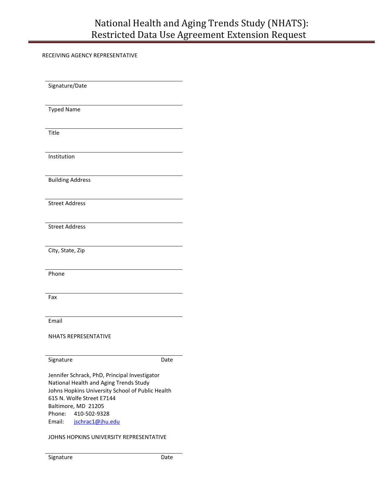RECEIVING AGENCY REPRESENTATIVE

Signature/Date Typed Name Title Institution Building Address Street Address Street Address City, State, Zip Phone Fax Email NHATS REPRESENTATIVE Signature Date Jennifer Schrack, PhD, Principal Investigator National Health and Aging Trends Study Johns Hopkins University School of Public Health 615 N. Wolfe Street E7144 Baltimore, MD 21205 Phone: 410-502-9328 Email: [jschrac1@jhu.edu](mailto:jschrac1@jhu.edu) JOHNS HOPKINS UNIVERSITY REPRESENTATIVE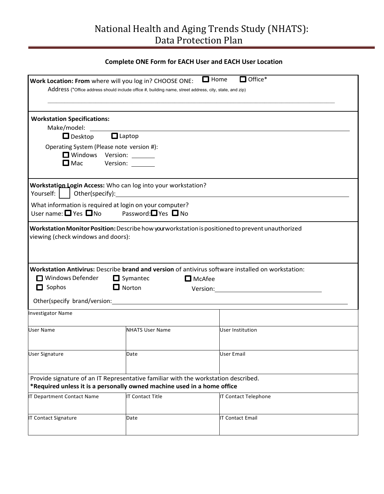# National Health and Aging Trends Study (NHATS): Data Protection Plan

## **Complete ONE Form for EACH User and EACH User Location**

| Work Location: From where will you log in? CHOOSE ONE:                                                                                                                                                                         | Address (*Office address should include office #, building name, street address, city, state, and zip) | $\Box$ Home   | $\Box$ Office*                                                                                                                                                                                        |
|--------------------------------------------------------------------------------------------------------------------------------------------------------------------------------------------------------------------------------|--------------------------------------------------------------------------------------------------------|---------------|-------------------------------------------------------------------------------------------------------------------------------------------------------------------------------------------------------|
| <b>Workstation Specifications:</b><br>Make/model:<br>$\Box$ Desktop                                                                                                                                                            | $\Box$ Laptop                                                                                          |               |                                                                                                                                                                                                       |
| Operating System (Please note version #):<br>$\square$ Mac                                                                                                                                                                     | Windows Version: ______<br>Version: ________                                                           |               |                                                                                                                                                                                                       |
| Workstation Login Access: Who can log into your workstation?<br>Yourself:                                                                                                                                                      |                                                                                                        |               |                                                                                                                                                                                                       |
| What information is required at login on your computer?<br>User name: $\Box$ Yes $\Box$ No Password: $\Box$ Yes $\Box$ No                                                                                                      |                                                                                                        |               |                                                                                                                                                                                                       |
| viewing (check windows and doors):<br>□ Windows Defender                                                                                                                                                                       | $\Box$ Symantec                                                                                        | $\Box$ McAfee | Workstation Monitor Position: Describe how yourworkstation is positioned to prevent unauthorized<br>Workstation Antivirus: Describe brand and version of antivirus software installed on workstation: |
| $\Box$ Sophos                                                                                                                                                                                                                  | $\Box$ Norton                                                                                          |               | Version: Version:                                                                                                                                                                                     |
| Other(specify brand/version: example and all other states and all other states and all other states are all other states and all other states are all other states and all other states are all other states and all other sta |                                                                                                        |               |                                                                                                                                                                                                       |
| <b>Investigator Name</b>                                                                                                                                                                                                       |                                                                                                        |               |                                                                                                                                                                                                       |
| <b>User Name</b>                                                                                                                                                                                                               | <b>NHATS User Name</b>                                                                                 |               | <b>User Institution</b>                                                                                                                                                                               |
| <b>User Signature</b>                                                                                                                                                                                                          | Date                                                                                                   |               | User Email                                                                                                                                                                                            |
| Provide signature of an IT Representative familiar with the workstation described.<br>*Required unless it is a personally owned machine used in a home office                                                                  |                                                                                                        |               |                                                                                                                                                                                                       |
| IT Department Contact Name                                                                                                                                                                                                     | <b>IT Contact Title</b>                                                                                |               | <b>IT Contact Telephone</b>                                                                                                                                                                           |
| IT Contact Signature                                                                                                                                                                                                           | Date                                                                                                   |               | IT Contact Email                                                                                                                                                                                      |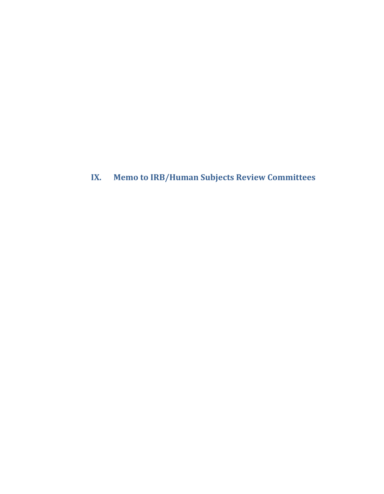<span id="page-24-0"></span>**IX. Memo to IRB/Human Subjects Review Committees**